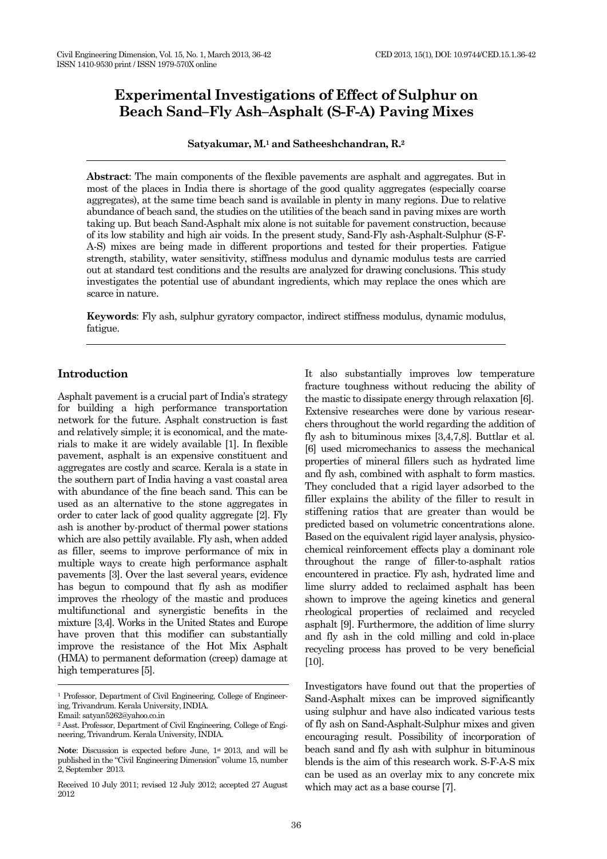# **Experimental Investigations of Effect of Sulphur on Beach Sand–Fly Ash–Asphalt (S-F-A) Paving Mixes**

**Satyakumar, M.<sup>1</sup> and Satheeshchandran, R.<sup>2</sup>**

**Abstract**: The main components of the flexible pavements are asphalt and aggregates. But in most of the places in India there is shortage of the good quality aggregates (especially coarse aggregates), at the same time beach sand is available in plenty in many regions. Due to relative abundance of beach sand, the studies on the utilities of the beach sand in paving mixes are worth taking up. But beach Sand-Asphalt mix alone is not suitable for pavement construction, because of its low stability and high air voids. In the present study, Sand-Fly ash-Asphalt-Sulphur (S-F-A-S) mixes are being made in different proportions and tested for their properties. Fatigue strength, stability, water sensitivity, stiffness modulus and dynamic modulus tests are carried out at standard test conditions and the results are analyzed for drawing conclusions. This study investigates the potential use of abundant ingredients, which may replace the ones which are scarce in nature.

**Keywords**: Fly ash, sulphur gyratory compactor, indirect stiffness modulus, dynamic modulus, fatigue.

# **Introduction**

Asphalt pavement is a crucial part of India's strategy for building a high performance transportation network for the future. Asphalt construction is fast and relatively simple; it is economical, and the materials to make it are widely available [1]. In flexible pavement, asphalt is an expensive constituent and aggregates are costly and scarce. Kerala is a state in the southern part of India having a vast coastal area with abundance of the fine beach sand. This can be used as an alternative to the stone aggregates in order to cater lack of good quality aggregate [2]. Fly ash is another by-product of thermal power stations which are also pettily available. Fly ash, when added as filler, seems to improve performance of mix in multiple ways to create high performance asphalt pavements [3]. Over the last several years, evidence has begun to compound that fly ash as modifier improves the rheology of the mastic and produces multifunctional and synergistic benefits in the mixture [3,4]. Works in the United States and Europe have proven that this modifier can substantially improve the resistance of the Hot Mix Asphalt (HMA) to permanent deformation (creep) damage at high temperatures [5].

It also substantially improves low temperature fracture toughness without reducing the ability of the mastic to dissipate energy through relaxation [6]. Extensive researches were done by various researchers throughout the world regarding the addition of fly ash to bituminous mixes [3,4,7,8]. Buttlar et al. [6] used micromechanics to assess the mechanical properties of mineral fillers such as hydrated lime and fly ash, combined with asphalt to form mastics. They concluded that a rigid layer adsorbed to the filler explains the ability of the filler to result in stiffening ratios that are greater than would be predicted based on volumetric concentrations alone. Based on the equivalent rigid layer analysis, physicochemical reinforcement effects play a dominant role throughout the range of filler-to-asphalt ratios encountered in practice. Fly ash, hydrated lime and lime slurry added to reclaimed asphalt has been shown to improve the ageing kinetics and general rheological properties of reclaimed and recycled asphalt [9]. Furthermore, the addition of lime slurry and fly ash in the cold milling and cold in-place recycling process has proved to be very beneficial [10].

Investigators have found out that the properties of Sand-Asphalt mixes can be improved significantly using sulphur and have also indicated various tests of fly ash on Sand-Asphalt-Sulphur mixes and given encouraging result. Possibility of incorporation of beach sand and fly ash with sulphur in bituminous blends is the aim of this research work. S-F-A-S mix can be used as an overlay mix to any concrete mix which may act as a base course [7].

<sup>&</sup>lt;sup>1</sup> Professor, Department of Civil Engineering, College of Engineering, Trivandrum. Kerala University, INDIA.

Email: satyan5262@yahoo.co.in

<sup>2</sup> Asst. Professor, Department of Civil Engineering, College of Engineering, Trivandrum. Kerala University, INDIA.

Note: Discussion is expected before June, 1<sup>st</sup> 2013, and will be published in the "Civil Engineering Dimension" volume 15, number 2, September 2013.

Received 10 July 2011; revised 12 July 2012; accepted 27 August 2012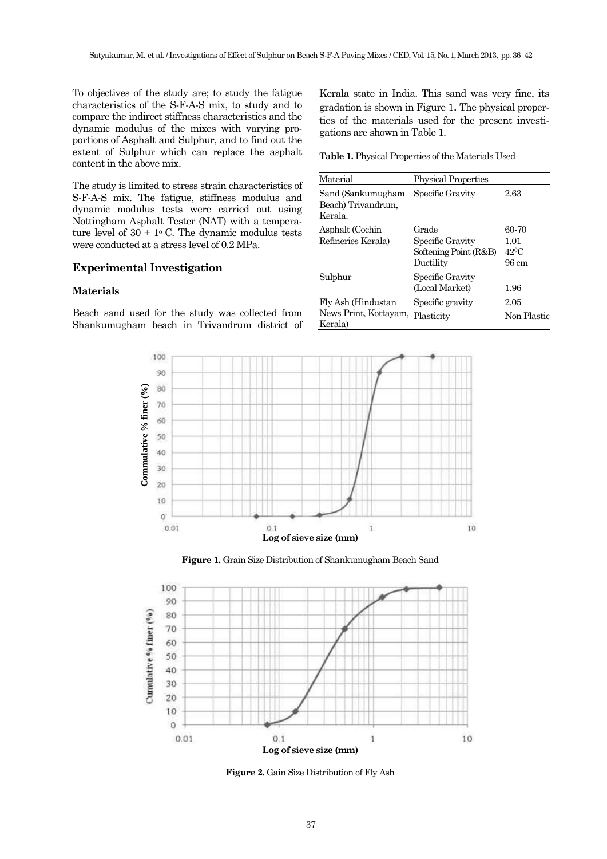To objectives of the study are; to study the fatigue characteristics of the S-F-A-S mix, to study and to compare the indirect stiffness characteristics and the dynamic modulus of the mixes with varying proportions of Asphalt and Sulphur, and to find out the extent of Sulphur which can replace the asphalt content in the above mix.

The study is limited to stress strain characteristics of S-F-A-S mix. The fatigue, stiffness modulus and dynamic modulus tests were carried out using Nottingham Asphalt Tester (NAT) with a temperature level of  $30 \pm 1$ <sup>o</sup> C. The dynamic modulus tests were conducted at a stress level of 0.2 MPa.

# **Experimental Investigation**

#### **Materials**

Beach sand used for the study was collected from Shankumugham beach in Trivandrum district of

Kerala state in India. This sand was very fine, its gradation is shown in Figure 1. The physical properties of the materials used for the present investigations are shown in Table 1.

**Table 1.** Physical Properties of the Materials Used

| Material                                               | <b>Physical Properties</b>                                      |                                         |
|--------------------------------------------------------|-----------------------------------------------------------------|-----------------------------------------|
| Sand (Sankumugham<br>Beach) Trivandrum,<br>Kerala.     | Specific Gravity                                                | 2.63                                    |
| Asphalt (Cochin<br>Refineries Kerala)                  | Grade<br>Specific Gravity<br>Softening Point (R&B)<br>Ductility | 60-70<br>1.01<br>$42^{\circ}C$<br>96 cm |
| Sulphur                                                | Specific Gravity<br>(Local Market)                              | 1.96                                    |
| Fly Ash (Hindustan<br>News Print, Kottayam,<br>Kerala) | Specific gravity<br>Plasticity                                  | 2.05<br>Non Plastic                     |



**Figure 1.** Grain Size Distribution of Shankumugham Beach Sand



**Figure 2.** Gain Size Distribution of Fly Ash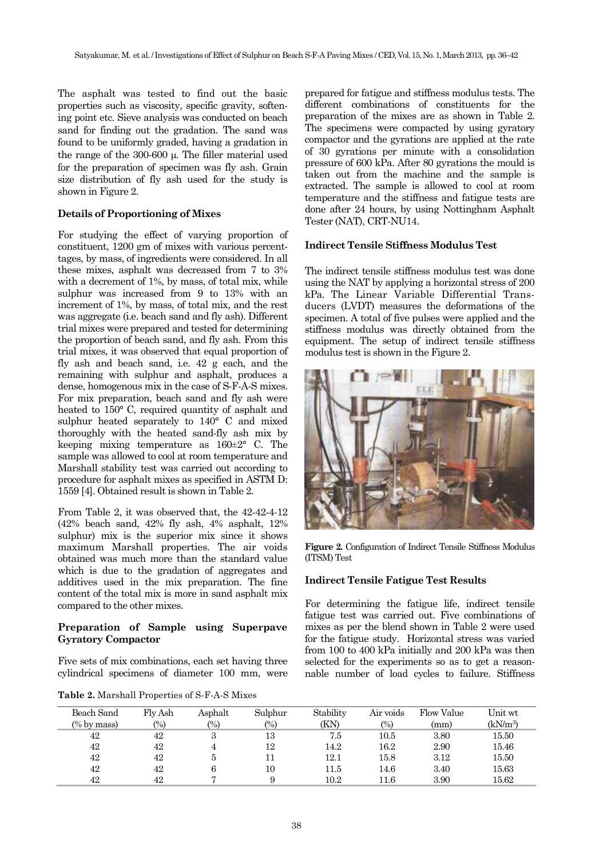The asphalt was tested to find out the basic properties such as viscosity, specific gravity, softening point etc. Sieve analysis was conducted on beach sand for finding out the gradation. The sand was found to be uniformly graded, having a gradation in the range of the  $300-600 \mu$ . The filler material used for the preparation of specimen was fly ash. Grain size distribution of fly ash used for the study is shown in Figure 2.

# **Details of Proportioning of Mixes**

For studying the effect of varying proportion of constituent, 1200 gm of mixes with various percenttages, by mass, of ingredients were considered. In all these mixes, asphalt was decreased from 7 to 3% with a decrement of 1%, by mass, of total mix, while sulphur was increased from 9 to 13% with an increment of 1%, by mass, of total mix, and the rest was aggregate (i.e. beach sand and fly ash). Different trial mixes were prepared and tested for determining the proportion of beach sand, and fly ash. From this trial mixes, it was observed that equal proportion of fly ash and beach sand, i.e. 42 g each, and the remaining with sulphur and asphalt, produces a dense, homogenous mix in the case of S-F-A-S mixes. For mix preparation, beach sand and fly ash were heated to 150° C, required quantity of asphalt and sulphur heated separately to 140° C and mixed thoroughly with the heated sand-fly ash mix by keeping mixing temperature as 160±2° C. The sample was allowed to cool at room temperature and Marshall stability test was carried out according to procedure for asphalt mixes as specified in ASTM D: 1559 [4]. Obtained result is shown in Table 2.

From Table 2, it was observed that, the 42-42-4-12 (42% beach sand, 42% fly ash, 4% asphalt, 12% sulphur) mix is the superior mix since it shows maximum Marshall properties. The air voids obtained was much more than the standard value which is due to the gradation of aggregates and additives used in the mix preparation. The fine content of the total mix is more in sand asphalt mix compared to the other mixes.

# **Preparation of Sample using Superpave Gyratory Compactor**

Five sets of mix combinations, each set having three cylindrical specimens of diameter 100 mm, were

**Table 2.** Marshall Properties of S-F-A-S Mixes

prepared for fatigue and stiffness modulus tests. The different combinations of constituents for the preparation of the mixes are as shown in Table 2. The specimens were compacted by using gyratory compactor and the gyrations are applied at the rate of 30 gyrations per minute with a consolidation pressure of 600 kPa. After 80 gyrations the mould is taken out from the machine and the sample is extracted. The sample is allowed to cool at room temperature and the stiffness and fatigue tests are done after 24 hours, by using Nottingham Asphalt Tester (NAT), CRT-NU14.

## **Indirect Tensile Stiffness Modulus Test**

The indirect tensile stiffness modulus test was done using the NAT by applying a horizontal stress of 200 kPa. The Linear Variable Differential Transducers (LVDT) measures the deformations of the specimen. A total of five pulses were applied and the stiffness modulus was directly obtained from the equipment. The setup of indirect tensile stiffness modulus test is shown in the Figure 2.



**Figure 2.** Configuration of Indirect Tensile Stiffness Modulus (ITSM) Test

## **Indirect Tensile Fatigue Test Results**

For determining the fatigue life, indirect tensile fatigue test was carried out. Five combinations of mixes as per the blend shown in Table 2 were used for the fatigue study. Horizontal stress was varied from 100 to 400 kPa initially and 200 kPa was then selected for the experiments so as to get a reasonnable number of load cycles to failure. Stiffness

| Beach Sand     | Fly Ash | Asphalt | Sulphur | Stability | Air voids         | Flow Value | Unit wt              |
|----------------|---------|---------|---------|-----------|-------------------|------------|----------------------|
| $(\%$ by mass) | (%)     | (%)     | (%)     | (KN)      | $\left(\%\right)$ | (mm)       | (kN/m <sup>3</sup> ) |
| 42             | 42      | 3       | 13      | 7.5       | 10.5              | 3.80       | 15.50                |
| 42             | 42      | 4       | 12      | 14.2      | 16.2              | 2.90       | 15.46                |
| 42             | 42      | 5       | 11      | 12.1      | 15.8              | 3.12       | 15.50                |
| 42             | 42      | 6       | 10      | 11.5      | 14.6              | 3.40       | 15.63                |
| 42             | 42      |         |         | 10.2      | $1.6\,$           | 3.90       | 15.62                |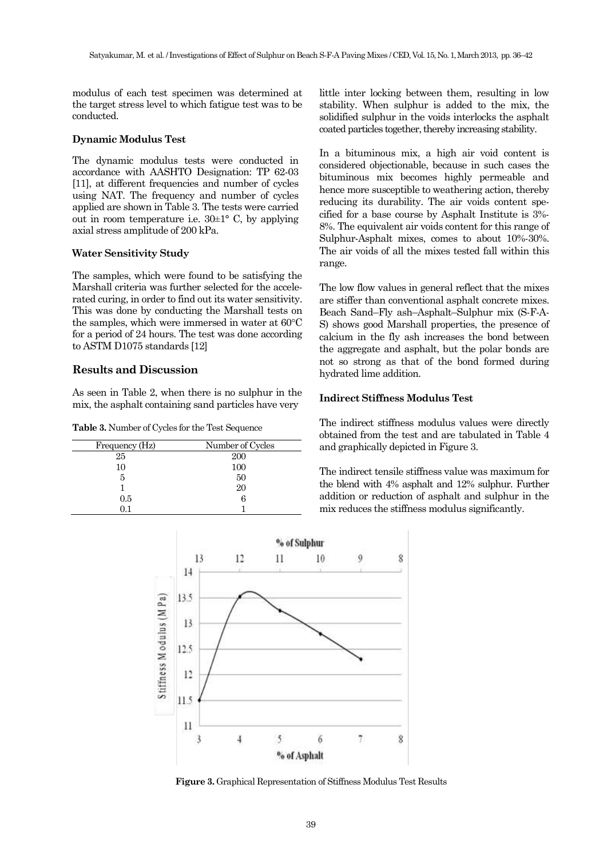modulus of each test specimen was determined at the target stress level to which fatigue test was to be conducted.

#### **Dynamic Modulus Test**

The dynamic modulus tests were conducted in accordance with AASHTO Designation: TP 62-03 [11], at different frequencies and number of cycles using NAT. The frequency and number of cycles applied are shown in Table 3. The tests were carried out in room temperature i.e.  $30\pm1^{\circ}$  C, by applying axial stress amplitude of 200 kPa.

## **Water Sensitivity Study**

The samples, which were found to be satisfying the Marshall criteria was further selected for the accelerated curing, in order to find out its water sensitivity. This was done by conducting the Marshall tests on the samples, which were immersed in water at  $60^{\circ}$ C for a period of 24 hours. The test was done according to ASTM D1075 standards [12]

## **Results and Discussion**

As seen in Table 2, when there is no sulphur in the mix, the asphalt containing sand particles have very

**Table 3.** Number of Cycles for the Test Sequence

| Frequency (Hz) | Number of Cycles |
|----------------|------------------|
| 25             | 200              |
| 10             | 100              |
| 5              | 50               |
|                | 20               |
| 0.5            | б                |
|                |                  |

little inter locking between them, resulting in low stability. When sulphur is added to the mix, the solidified sulphur in the voids interlocks the asphalt coated particles together, thereby increasing stability.

In a bituminous mix, a high air void content is considered objectionable, because in such cases the bituminous mix becomes highly permeable and hence more susceptible to weathering action, thereby reducing its durability. The air voids content specified for a base course by Asphalt Institute is 3%- 8%. The equivalent air voids content for this range of Sulphur-Asphalt mixes, comes to about 10%-30%. The air voids of all the mixes tested fall within this range.

The low flow values in general reflect that the mixes are stiffer than conventional asphalt concrete mixes. Beach Sand–Fly ash–Asphalt–Sulphur mix (S-F-A-S) shows good Marshall properties, the presence of calcium in the fly ash increases the bond between the aggregate and asphalt, but the polar bonds are not so strong as that of the bond formed during hydrated lime addition.

## **Indirect Stiffness Modulus Test**

The indirect stiffness modulus values were directly obtained from the test and are tabulated in Table 4 and graphically depicted in Figure 3.

The indirect tensile stiffness value was maximum for the blend with 4% asphalt and 12% sulphur. Further addition or reduction of asphalt and sulphur in the mix reduces the stiffness modulus significantly.



**Figure 3.** Graphical Representation of Stiffness Modulus Test Results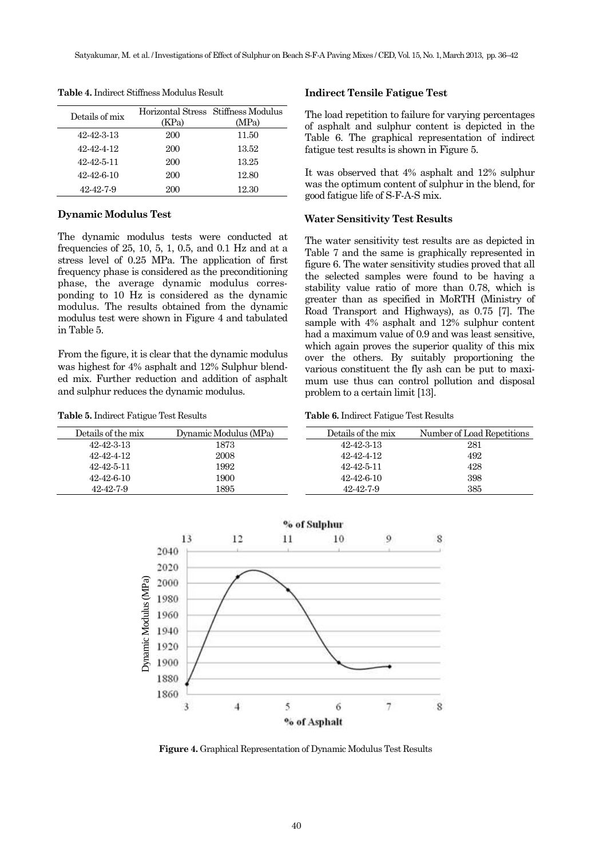| Details of mix | (KPa) | Horizontal Stress Stiffness Modulus<br>(MPa) |
|----------------|-------|----------------------------------------------|
| 42-42-3-13     | 200   | 11.50                                        |
| 42-42-4-12     | 200   | 13.52                                        |
| 42-42-5-11     | 200   | 13.25                                        |
| 42-42-6-10     | 200   | 12.80                                        |
| 42-42-7-9      | 200   | 12.30                                        |

**Table 4.** Indirect Stiffness Modulus Result

#### **Dynamic Modulus Test**

The dynamic modulus tests were conducted at frequencies of 25, 10, 5, 1, 0.5, and 0.1 Hz and at a stress level of 0.25 MPa. The application of first frequency phase is considered as the preconditioning phase, the average dynamic modulus corresponding to 10 Hz is considered as the dynamic modulus. The results obtained from the dynamic modulus test were shown in Figure 4 and tabulated in Table 5.

From the figure, it is clear that the dynamic modulus was highest for 4% asphalt and 12% Sulphur blended mix. Further reduction and addition of asphalt and sulphur reduces the dynamic modulus.

**Table 5.** Indirect Fatigue Test Results

#### **Indirect Tensile Fatigue Test**

The load repetition to failure for varying percentages of asphalt and sulphur content is depicted in the Table 6. The graphical representation of indirect fatigue test results is shown in Figure 5.

It was observed that 4% asphalt and 12% sulphur was the optimum content of sulphur in the blend, for good fatigue life of S-F-A-S mix.

#### **Water Sensitivity Test Results**

The water sensitivity test results are as depicted in Table 7 and the same is graphically represented in figure 6. The water sensitivity studies proved that all the selected samples were found to be having a stability value ratio of more than 0.78, which is greater than as specified in MoRTH (Ministry of Road Transport and Highways), as 0.75 [7]. The sample with 4% asphalt and 12% sulphur content had a maximum value of 0.9 and was least sensitive, which again proves the superior quality of this mix over the others. By suitably proportioning the various constituent the fly ash can be put to maximum use thus can control pollution and disposal problem to a certain limit [13].

| Table 6. Indirect Fatigue Test Results |  |
|----------------------------------------|--|
|----------------------------------------|--|

| Details of the mix | Dynamic Modulus (MPa) | Details of the mix | Number of Load Repetitions |
|--------------------|-----------------------|--------------------|----------------------------|
| 42-42-3-13         | 1873                  | 42-42-3-13         | 281                        |
| 42-42-4-12         | 2008                  | 42-42-4-12         | 492                        |
| 42-42-5-11         | 1992                  | 42-42-5-11         | 428                        |
| 42-42-6-10         | 1900                  | $42 - 42 - 6 - 10$ | 398                        |
| 42-42-7-9          | 1895                  | 42-42-7-9          | 385                        |



**Figure 4.** Graphical Representation of Dynamic Modulus Test Results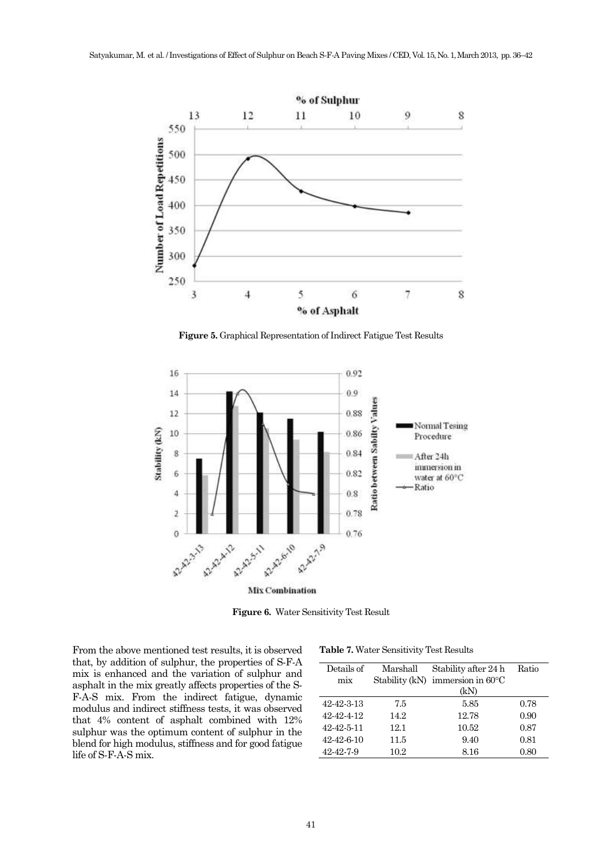

**Figure 5.** Graphical Representation of Indirect Fatigue Test Results



**Figure 6.** Water Sensitivity Test Result

From the above mentioned test results, it is observed that, by addition of sulphur, the properties of S-F-A mix is enhanced and the variation of sulphur and asphalt in the mix greatly affects properties of the S-F-A-S mix. From the indirect fatigue, dynamic modulus and indirect stiffness tests, it was observed that 4% content of asphalt combined with 12% sulphur was the optimum content of sulphur in the blend for high modulus, stiffness and for good fatigue life of S-F-A-S mix.

**Table 7.** Water Sensitivity Test Results

| Details of | Marshall | Stability after 24 h                       |      |
|------------|----------|--------------------------------------------|------|
| mix        |          | Stability (kN) immersion in $60^{\circ}$ C |      |
|            |          | (kN)                                       |      |
| 42-42-3-13 | 7.5      | 5.85                                       | 0.78 |
| 42-42-4-12 | 14.2     | 12.78                                      | 0.90 |
| 42-42-5-11 | 12.1     | 10.52                                      | 0.87 |
| 42-42-6-10 | 11.5     | 9.40                                       | 0.81 |
| 42-42-7-9  | 10.2     | 8.16                                       | 0.80 |